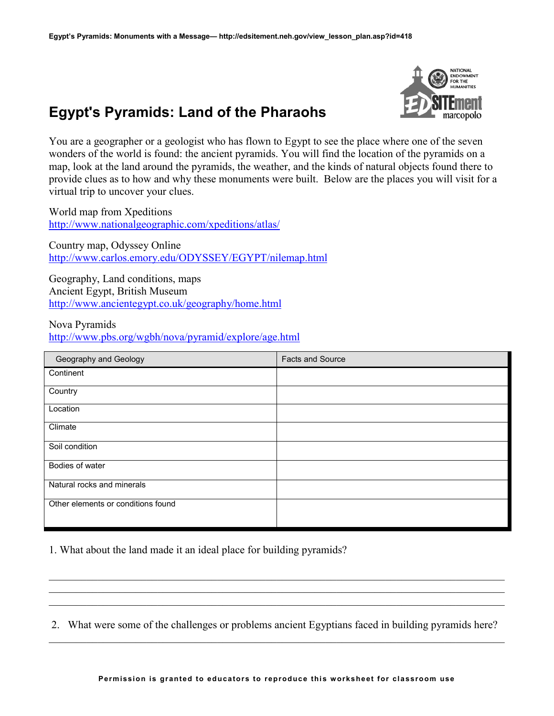## **Egypt's Pyramids: Land of the Pharaohs**



You are a geographer or a geologist who has flown to Egypt to see the place where one of the seven wonders of the world is found: the ancient pyramids. You will find the location of the pyramids on a map, look at the land around the pyramids, the weather, and the kinds of natural objects found there to provide clues as to how and why these monuments were built. Below are the places you will visit for a virtual trip to uncover your clues.

World map from Xpeditions <http://www.nationalgeographic.com/xpeditions/atlas/>

Country map, Odyssey Online <http://www.carlos.emory.edu/ODYSSEY/EGYPT/nilemap.html>

Geography, Land conditions, maps Ancient Egypt, British Museum <http://www.ancientegypt.co.uk/geography/home.html>

Nova Pyramids

<http://www.pbs.org/wgbh/nova/pyramid/explore/age.html>

| Geography and Geology              | <b>Facts and Source</b> |
|------------------------------------|-------------------------|
| Continent                          |                         |
| Country                            |                         |
| Location                           |                         |
| Climate                            |                         |
| Soil condition                     |                         |
| Bodies of water                    |                         |
| Natural rocks and minerals         |                         |
| Other elements or conditions found |                         |

1. What about the land made it an ideal place for building pyramids?

2. What were some of the challenges or problems ancient Egyptians faced in building pyramids here?  $\mathcal{L}_\mathcal{L} = \{ \mathcal{L}_\mathcal{L} = \{ \mathcal{L}_\mathcal{L} = \{ \mathcal{L}_\mathcal{L} = \{ \mathcal{L}_\mathcal{L} = \{ \mathcal{L}_\mathcal{L} = \{ \mathcal{L}_\mathcal{L} = \{ \mathcal{L}_\mathcal{L} = \{ \mathcal{L}_\mathcal{L} = \{ \mathcal{L}_\mathcal{L} = \{ \mathcal{L}_\mathcal{L} = \{ \mathcal{L}_\mathcal{L} = \{ \mathcal{L}_\mathcal{L} = \{ \mathcal{L}_\mathcal{L} = \{ \mathcal{L}_\mathcal{$ 

 $\mathcal{L}_\mathcal{L} = \{ \mathcal{L}_\mathcal{L} = \{ \mathcal{L}_\mathcal{L} = \{ \mathcal{L}_\mathcal{L} = \{ \mathcal{L}_\mathcal{L} = \{ \mathcal{L}_\mathcal{L} = \{ \mathcal{L}_\mathcal{L} = \{ \mathcal{L}_\mathcal{L} = \{ \mathcal{L}_\mathcal{L} = \{ \mathcal{L}_\mathcal{L} = \{ \mathcal{L}_\mathcal{L} = \{ \mathcal{L}_\mathcal{L} = \{ \mathcal{L}_\mathcal{L} = \{ \mathcal{L}_\mathcal{L} = \{ \mathcal{L}_\mathcal{$  $\mathcal{L}_\mathcal{L} = \{ \mathcal{L}_\mathcal{L} = \{ \mathcal{L}_\mathcal{L} = \{ \mathcal{L}_\mathcal{L} = \{ \mathcal{L}_\mathcal{L} = \{ \mathcal{L}_\mathcal{L} = \{ \mathcal{L}_\mathcal{L} = \{ \mathcal{L}_\mathcal{L} = \{ \mathcal{L}_\mathcal{L} = \{ \mathcal{L}_\mathcal{L} = \{ \mathcal{L}_\mathcal{L} = \{ \mathcal{L}_\mathcal{L} = \{ \mathcal{L}_\mathcal{L} = \{ \mathcal{L}_\mathcal{L} = \{ \mathcal{L}_\mathcal{$  $\mathcal{L}_\mathcal{L} = \{ \mathcal{L}_\mathcal{L} = \{ \mathcal{L}_\mathcal{L} = \{ \mathcal{L}_\mathcal{L} = \{ \mathcal{L}_\mathcal{L} = \{ \mathcal{L}_\mathcal{L} = \{ \mathcal{L}_\mathcal{L} = \{ \mathcal{L}_\mathcal{L} = \{ \mathcal{L}_\mathcal{L} = \{ \mathcal{L}_\mathcal{L} = \{ \mathcal{L}_\mathcal{L} = \{ \mathcal{L}_\mathcal{L} = \{ \mathcal{L}_\mathcal{L} = \{ \mathcal{L}_\mathcal{L} = \{ \mathcal{L}_\mathcal{$